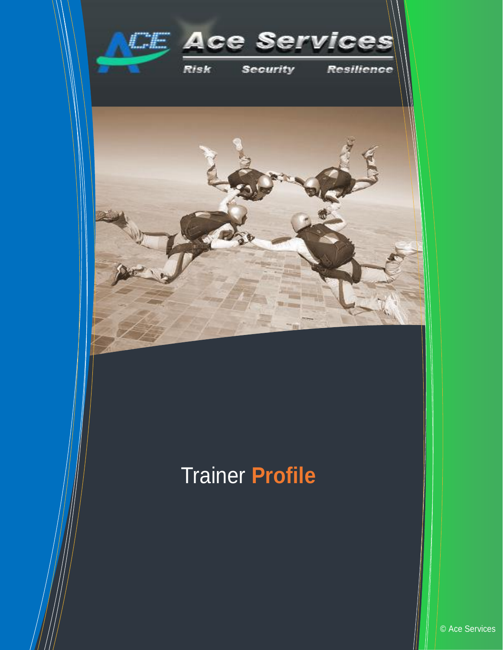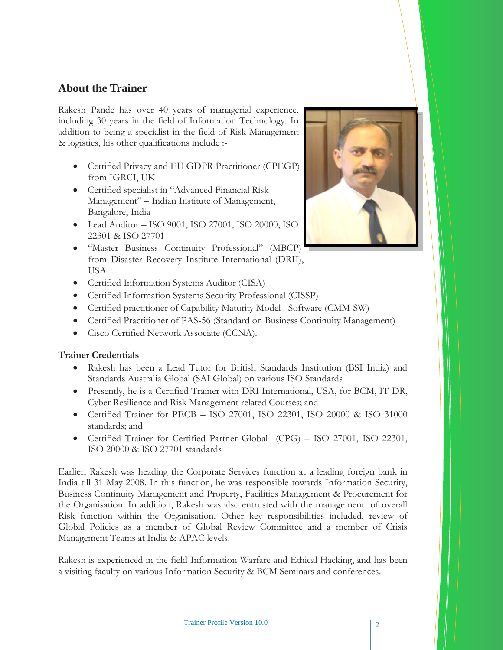## **About the Trainer**

Rakesh Pande has over 40 years of managerial experience, including 30 years in the field of Information Technology. In addition to being a specialist in the field of Risk Management & logistics, his other qualifications include :-

- Certified Privacy and EU GDPR Practitioner (CPEGP) from IGRCI, UK
- Certified specialist in "Advanced Financial Risk Management" – Indian Institute of Management, Bangalore, India
- Lead Auditor ISO 9001, ISO 27001, ISO 20000, ISO 22301 & ISO 27701
- "Master Business Continuity Professional" (MBCP) from Disaster Recovery Institute International (DRII), USA



- Certified Information Systems Auditor (CISA)
- Certified Information Systems Security Professional (CISSP)
- Certified practitioner of Capability Maturity Model –Software (CMM-SW)
- Certified Practitioner of PAS-56 (Standard on Business Continuity Management)
- Cisco Certified Network Associate (CCNA).

## **Trainer Credentials**

- Rakesh has been a Lead Tutor for British Standards Institution (BSI India) and Standards Australia Global (SAI Global) on various ISO Standards
- Presently, he is a Certified Trainer with DRI International, USA, for BCM, IT DR, Cyber Resilience and Risk Management related Courses; and
- Certified Trainer for PECB ISO 27001, ISO 22301, ISO 20000 & ISO 31000 standards; and
- Certified Trainer for Certified Partner Global (CPG) ISO 27001, ISO 22301, ISO 20000 & ISO 27701 standards

Earlier, Rakesh was heading the Corporate Services function at a leading foreign bank in India till 31 May 2008. In this function, he was responsible towards Information Security, Business Continuity Management and Property, Facilities Management & Procurement for the Organisation. In addition, Rakesh was also entrusted with the management of overall Risk function within the Organisation. Other key responsibilities included, review of Global Policies as a member of Global Review Committee and a member of Crisis Management Teams at India & APAC levels.

Rakesh is experienced in the field Information Warfare and Ethical Hacking, and has been a visiting faculty on various Information Security & BCM Seminars and conferences.